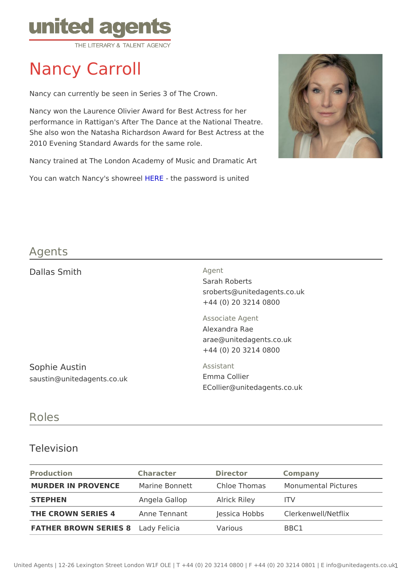# Nancy Carroll

Nancy can currently be seen in Series 3 of The Crown.

Nancy won the Laurence Olivier Award for Best Actress for her performance in Rattigan's After The Dance at the National Theatre. She also won the Natasha Richardson Award for Best Actress at the 2010 Evening Standard Awards for the same role.

Nancy trained at The London Academy of Music and Dramatic Art You can watch Nancy's block- the password is united

### Agents

| Dallas Smith                                | Agent<br>Sarah Roberts<br>sroberts@unitedagents.co.uk<br>+44 (0) 20 3214 0800       |  |  |
|---------------------------------------------|-------------------------------------------------------------------------------------|--|--|
|                                             | Associate Agent<br>Alexandra Rae<br>arae@unitedagents.co.uk<br>+44 (0) 20 3214 0800 |  |  |
| Sophie Austin<br>saustin@unitedagents.co.uk | Assistant<br>Emma Collier<br>E Collier @ unitedagents.co.uk                         |  |  |

#### Roles

#### Television

| Production                                                      | Character                      | Director | Company                                                         |
|-----------------------------------------------------------------|--------------------------------|----------|-----------------------------------------------------------------|
|                                                                 |                                |          | MURDER IN PROVENCMarine Bonnett Chloe ThomasMonumental Pictures |
| STEPHEN                                                         | Angela Gallop Alrick Riley ITV |          |                                                                 |
| THE CROWN SERIES 4Anne Tennant Jessica HobbsClerkenwell/Netflix |                                |          |                                                                 |
| FATHER BROWN SERIESd& Felicia                                   |                                | Various  | BBC1                                                            |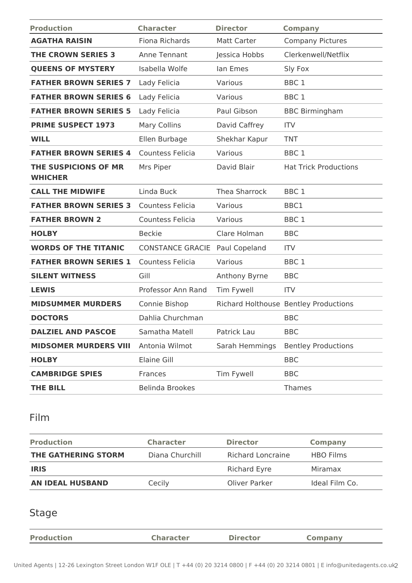| <b>Production</b>                      | <b>Character</b>        | <b>Director</b>    | <b>Company</b>                        |
|----------------------------------------|-------------------------|--------------------|---------------------------------------|
| <b>AGATHA RAISIN</b>                   | Fiona Richards          | <b>Matt Carter</b> | <b>Company Pictures</b>               |
| <b>THE CROWN SERIES 3</b>              | Anne Tennant            | Jessica Hobbs      | Clerkenwell/Netflix                   |
| <b>QUEENS OF MYSTERY</b>               | Isabella Wolfe          | lan Emes           | Sly Fox                               |
| <b>FATHER BROWN SERIES 7</b>           | Lady Felicia            | Various            | BBC <sub>1</sub>                      |
| <b>FATHER BROWN SERIES 6</b>           | Lady Felicia            | Various            | BBC <sub>1</sub>                      |
| <b>FATHER BROWN SERIES 5</b>           | Lady Felicia            | Paul Gibson        | <b>BBC Birmingham</b>                 |
| <b>PRIME SUSPECT 1973</b>              | <b>Mary Collins</b>     | David Caffrey      | <b>ITV</b>                            |
| <b>WILL</b>                            | Ellen Burbage           | Shekhar Kapur      | <b>TNT</b>                            |
| <b>FATHER BROWN SERIES 4</b>           | Countess Felicia        | Various            | BBC <sub>1</sub>                      |
| THE SUSPICIONS OF MR<br><b>WHICHER</b> | Mrs Piper               | David Blair        | <b>Hat Trick Productions</b>          |
| <b>CALL THE MIDWIFE</b>                | Linda Buck              | Thea Sharrock      | BBC <sub>1</sub>                      |
| <b>FATHER BROWN SERIES 3</b>           | <b>Countess Felicia</b> | Various            | BBC1                                  |
| <b>FATHER BROWN 2</b>                  | <b>Countess Felicia</b> | Various            | BBC <sub>1</sub>                      |
| <b>HOLBY</b>                           | <b>Beckie</b>           | Clare Holman       | <b>BBC</b>                            |
| <b>WORDS OF THE TITANIC</b>            | <b>CONSTANCE GRACIE</b> | Paul Copeland      | <b>ITV</b>                            |
| <b>FATHER BROWN SERIES 1</b>           | Countess Felicia        | Various            | BBC <sub>1</sub>                      |
| <b>SILENT WITNESS</b>                  | Gill                    | Anthony Byrne      | <b>BBC</b>                            |
| <b>LEWIS</b>                           | Professor Ann Rand      | Tim Fywell         | <b>ITV</b>                            |
| <b>MIDSUMMER MURDERS</b>               | Connie Bishop           |                    | Richard Holthouse Bentley Productions |
| <b>DOCTORS</b>                         | Dahlia Churchman        |                    | <b>BBC</b>                            |
| <b>DALZIEL AND PASCOE</b>              | Samatha Matell          | Patrick Lau        | <b>BBC</b>                            |
| <b>MIDSOMER MURDERS VIII</b>           | Antonia Wilmot          | Sarah Hemmings     | <b>Bentley Productions</b>            |
| <b>HOLBY</b>                           | Elaine Gill             |                    | <b>BBC</b>                            |
| <b>CAMBRIDGE SPIES</b>                 | Frances                 | Tim Fywell         | <b>BBC</b>                            |
| <b>THE BILL</b>                        | <b>Belinda Brookes</b>  |                    | Thames                                |

## Film

| <b>Production</b>       | <b>Character</b> | <b>Director</b>          | <b>Company</b>   |
|-------------------------|------------------|--------------------------|------------------|
| THE GATHERING STORM     | Diana Churchill  | <b>Richard Loncraine</b> | <b>HBO Films</b> |
| <b>IRIS</b>             |                  | <b>Richard Eyre</b>      | Miramax          |
| <b>AN IDEAL HUSBAND</b> | Cecily           | Oliver Parker            | Ideal Film Co.   |

### Stage

| <b>Production</b> | <b>Character</b> | <b>Director</b> |  |
|-------------------|------------------|-----------------|--|
|                   |                  |                 |  |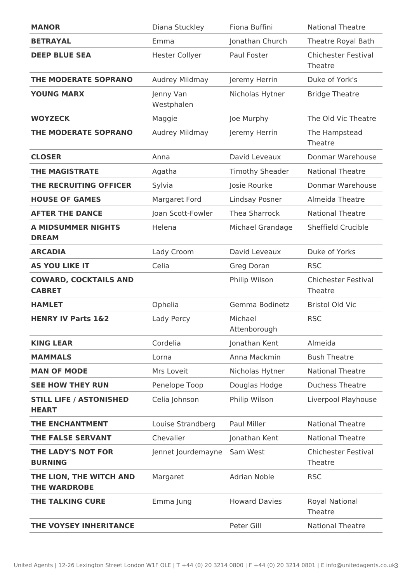| <b>MANOR</b>                                   | Diana Stuckley          | Fiona Buffini           | <b>National Theatre</b>               |
|------------------------------------------------|-------------------------|-------------------------|---------------------------------------|
| <b>BETRAYAL</b>                                | Emma                    | Jonathan Church         | Theatre Royal Bath                    |
| <b>DEEP BLUE SEA</b>                           | <b>Hester Collyer</b>   | Paul Foster             | <b>Chichester Festival</b><br>Theatre |
| THE MODERATE SOPRANO                           | Audrey Mildmay          | Jeremy Herrin           | Duke of York's                        |
| <b>YOUNG MARX</b>                              | Jenny Van<br>Westphalen | Nicholas Hytner         | <b>Bridge Theatre</b>                 |
| <b>WOYZECK</b>                                 | Maggie                  | Joe Murphy              | The Old Vic Theatre                   |
| THE MODERATE SOPRANO                           | Audrey Mildmay          | Jeremy Herrin           | The Hampstead<br>Theatre              |
| <b>CLOSER</b>                                  | Anna                    | David Leveaux           | Donmar Warehouse                      |
| <b>THE MAGISTRATE</b>                          | Agatha                  | <b>Timothy Sheader</b>  | <b>National Theatre</b>               |
| THE RECRUITING OFFICER                         | Sylvia                  | Josie Rourke            | Donmar Warehouse                      |
| <b>HOUSE OF GAMES</b>                          | Margaret Ford           | Lindsay Posner          | Almeida Theatre                       |
| <b>AFTER THE DANCE</b>                         | Joan Scott-Fowler       | Thea Sharrock           | <b>National Theatre</b>               |
| <b>A MIDSUMMER NIGHTS</b><br><b>DREAM</b>      | Helena                  | Michael Grandage        | Sheffield Crucible                    |
| <b>ARCADIA</b>                                 | Lady Croom              | David Leveaux           | Duke of Yorks                         |
| <b>AS YOU LIKE IT</b>                          | Celia                   | Greg Doran              | <b>RSC</b>                            |
| <b>COWARD, COCKTAILS AND</b><br><b>CABRET</b>  |                         | Philip Wilson           | <b>Chichester Festival</b><br>Theatre |
| <b>HAMLET</b>                                  | Ophelia                 | Gemma Bodinetz          | <b>Bristol Old Vic</b>                |
| <b>HENRY IV Parts 1&amp;2</b>                  | Lady Percy              | Michael<br>Attenborough | <b>RSC</b>                            |
| <b>KING LEAR</b>                               | Cordelia                | Jonathan Kent           | Almeida                               |
| <b>MAMMALS</b>                                 | Lorna                   | Anna Mackmin            | <b>Bush Theatre</b>                   |
| <b>MAN OF MODE</b>                             | Mrs Loveit              | Nicholas Hytner         | <b>National Theatre</b>               |
| <b>SEE HOW THEY RUN</b>                        | Penelope Toop           | Douglas Hodge           | <b>Duchess Theatre</b>                |
| <b>STILL LIFE / ASTONISHED</b><br><b>HEART</b> | Celia Johnson           | Philip Wilson           | Liverpool Playhouse                   |
| THE ENCHANTMENT                                | Louise Strandberg       | Paul Miller             | <b>National Theatre</b>               |
| <b>THE FALSE SERVANT</b>                       | Chevalier               | Jonathan Kent           | <b>National Theatre</b>               |
| THE LADY'S NOT FOR<br><b>BURNING</b>           | Jennet Jourdemayne      | Sam West                | <b>Chichester Festival</b><br>Theatre |
| THE LION, THE WITCH AND<br><b>THE WARDROBE</b> | Margaret                | <b>Adrian Noble</b>     | <b>RSC</b>                            |
| THE TALKING CURE                               | Emma Jung               | <b>Howard Davies</b>    | <b>Royal National</b><br>Theatre      |
| THE VOYSEY INHERITANCE                         |                         | Peter Gill              | <b>National Theatre</b>               |